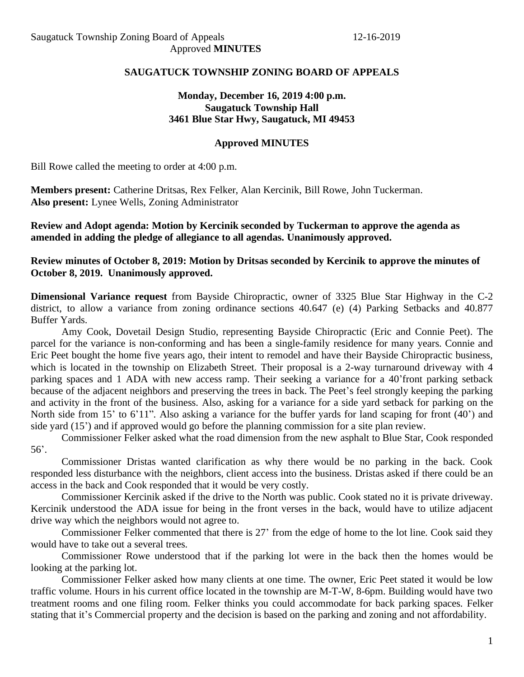## **SAUGATUCK TOWNSHIP ZONING BOARD OF APPEALS**

## **Monday, December 16, 2019 4:00 p.m. Saugatuck Township Hall 3461 Blue Star Hwy, Saugatuck, MI 49453**

#### **Approved MINUTES**

Bill Rowe called the meeting to order at 4:00 p.m.

**Members present:** Catherine Dritsas, Rex Felker, Alan Kercinik, Bill Rowe, John Tuckerman. **Also present:** Lynee Wells, Zoning Administrator

**Review and Adopt agenda: Motion by Kercinik seconded by Tuckerman to approve the agenda as amended in adding the pledge of allegiance to all agendas. Unanimously approved.**

**Review minutes of October 8, 2019: Motion by Dritsas seconded by Kercinik to approve the minutes of October 8, 2019. Unanimously approved.**

**Dimensional Variance request** from Bayside Chiropractic, owner of 3325 Blue Star Highway in the C-2 district, to allow a variance from zoning ordinance sections 40.647 (e) (4) Parking Setbacks and 40.877 Buffer Yards.

Amy Cook, Dovetail Design Studio, representing Bayside Chiropractic (Eric and Connie Peet). The parcel for the variance is non-conforming and has been a single-family residence for many years. Connie and Eric Peet bought the home five years ago, their intent to remodel and have their Bayside Chiropractic business, which is located in the township on Elizabeth Street. Their proposal is a 2-way turnaround driveway with 4 parking spaces and 1 ADA with new access ramp. Their seeking a variance for a 40'front parking setback because of the adjacent neighbors and preserving the trees in back. The Peet's feel strongly keeping the parking and activity in the front of the business. Also, asking for a variance for a side yard setback for parking on the North side from 15' to 6'11". Also asking a variance for the buffer yards for land scaping for front (40') and side yard (15') and if approved would go before the planning commission for a site plan review.

Commissioner Felker asked what the road dimension from the new asphalt to Blue Star, Cook responded 56'.

Commissioner Dristas wanted clarification as why there would be no parking in the back. Cook responded less disturbance with the neighbors, client access into the business. Dristas asked if there could be an access in the back and Cook responded that it would be very costly.

Commissioner Kercinik asked if the drive to the North was public. Cook stated no it is private driveway. Kercinik understood the ADA issue for being in the front verses in the back, would have to utilize adjacent drive way which the neighbors would not agree to.

Commissioner Felker commented that there is 27' from the edge of home to the lot line. Cook said they would have to take out a several trees.

Commissioner Rowe understood that if the parking lot were in the back then the homes would be looking at the parking lot.

Commissioner Felker asked how many clients at one time. The owner, Eric Peet stated it would be low traffic volume. Hours in his current office located in the township are M-T-W, 8-6pm. Building would have two treatment rooms and one filing room. Felker thinks you could accommodate for back parking spaces. Felker stating that it's Commercial property and the decision is based on the parking and zoning and not affordability.